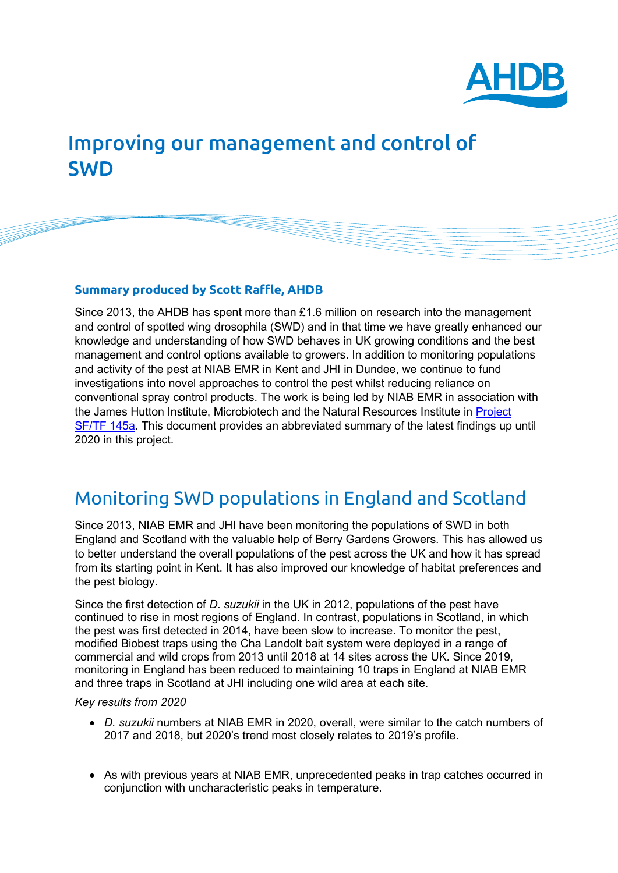

# Improving our management and control of SWD

### **Summary produced by Scott Raffle, AHDB**

Since 2013, the AHDB has spent more than £1.6 million on research into the management and control of spotted wing drosophila (SWD) and in that time we have greatly enhanced our knowledge and understanding of how SWD behaves in UK growing conditions and the best management and control options available to growers. In addition to monitoring populations and activity of the pest at NIAB EMR in Kent and JHI in Dundee, we continue to fund investigations into novel approaches to control the pest whilst reducing reliance on conventional spray control products. The work is being led by NIAB EMR in association with the James Hutton Institute, Microbiotech and the Natural Resources Institute in [Project](https://ahdb.org.uk/sf-tf-145a-development-and-implementation-of-season-long-control-strategies-for-drosophila-suzukii-in-soft-and-tree-fruit)  [SF/TF 145a.](https://ahdb.org.uk/sf-tf-145a-development-and-implementation-of-season-long-control-strategies-for-drosophila-suzukii-in-soft-and-tree-fruit) This document provides an abbreviated summary of the latest findings up until 2020 in this project.

## Monitoring SWD populations in England and Scotland

Since 2013, NIAB EMR and JHI have been monitoring the populations of SWD in both England and Scotland with the valuable help of Berry Gardens Growers. This has allowed us to better understand the overall populations of the pest across the UK and how it has spread from its starting point in Kent. It has also improved our knowledge of habitat preferences and the pest biology.

Since the first detection of *D. suzukii* in the UK in 2012, populations of the pest have continued to rise in most regions of England. In contrast, populations in Scotland, in which the pest was first detected in 2014, have been slow to increase. To monitor the pest, modified Biobest traps using the Cha Landolt bait system were deployed in a range of commercial and wild crops from 2013 until 2018 at 14 sites across the UK. Since 2019, monitoring in England has been reduced to maintaining 10 traps in England at NIAB EMR and three traps in Scotland at JHI including one wild area at each site.

#### *Key results from 2020*

- *D. suzukii* numbers at NIAB EMR in 2020, overall, were similar to the catch numbers of 2017 and 2018, but 2020's trend most closely relates to 2019's profile.
- As with previous years at NIAB EMR, unprecedented peaks in trap catches occurred in conjunction with uncharacteristic peaks in temperature.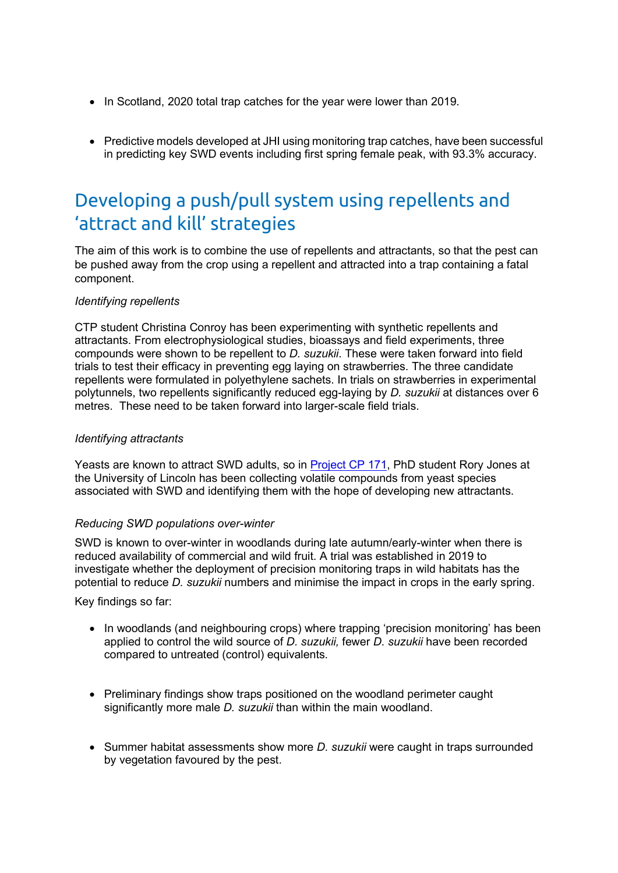- In Scotland, 2020 total trap catches for the year were lower than 2019.
- Predictive models developed at JHI using monitoring trap catches, have been successful in predicting key SWD events including first spring female peak, with 93.3% accuracy.

# Developing a push/pull system using repellents and 'attract and kill' strategies

The aim of this work is to combine the use of repellents and attractants, so that the pest can be pushed away from the crop using a repellent and attracted into a trap containing a fatal component.

### *Identifying repellents*

CTP student Christina Conroy has been experimenting with synthetic repellents and attractants. From electrophysiological studies, bioassays and field experiments, three compounds were shown to be repellent to *D. suzukii*. These were taken forward into field trials to test their efficacy in preventing egg laying on strawberries. The three candidate repellents were formulated in polyethylene sachets. In trials on strawberries in experimental polytunnels, two repellents significantly reduced egg-laying by *D. suzukii* at distances over 6 metres. These need to be taken forward into larger-scale field trials.

### *Identifying attractants*

Yeasts are known to attract SWD adults, so in [Project CP 171,](https://ahdb.org.uk/cp-171-the-use-of-highly-attractive-yeast-strains-for-controlling-drosophila-suzukii-spotted-wing-drosophila) PhD student Rory Jones at the University of Lincoln has been collecting volatile compounds from yeast species associated with SWD and identifying them with the hope of developing new attractants.

#### *Reducing SWD populations over-winter*

SWD is known to over-winter in woodlands during late autumn/early-winter when there is reduced availability of commercial and wild fruit. A trial was established in 2019 to investigate whether the deployment of precision monitoring traps in wild habitats has the potential to reduce *D. suzukii* numbers and minimise the impact in crops in the early spring.

Key findings so far:

- In woodlands (and neighbouring crops) where trapping 'precision monitoring' has been applied to control the wild source of *D. suzukii,* fewer *D. suzukii* have been recorded compared to untreated (control) equivalents.
- Preliminary findings show traps positioned on the woodland perimeter caught significantly more male *D. suzukii* than within the main woodland.
- Summer habitat assessments show more *D. suzukii* were caught in traps surrounded by vegetation favoured by the pest.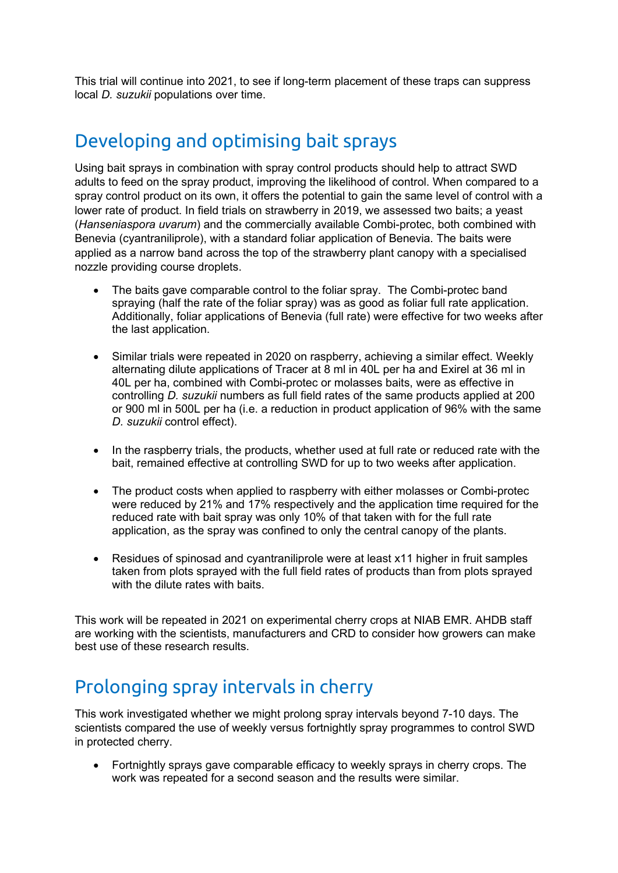This trial will continue into 2021, to see if long-term placement of these traps can suppress local *D. suzukii* populations over time.

# Developing and optimising bait sprays

Using bait sprays in combination with spray control products should help to attract SWD adults to feed on the spray product, improving the likelihood of control. When compared to a spray control product on its own, it offers the potential to gain the same level of control with a lower rate of product. In field trials on strawberry in 2019, we assessed two baits; a yeast (*Hanseniaspora uvarum*) and the commercially available Combi-protec, both combined with Benevia (cyantraniliprole), with a standard foliar application of Benevia. The baits were applied as a narrow band across the top of the strawberry plant canopy with a specialised nozzle providing course droplets.

- The baits gave comparable control to the foliar spray. The Combi-protec band spraying (half the rate of the foliar spray) was as good as foliar full rate application. Additionally, foliar applications of Benevia (full rate) were effective for two weeks after the last application.
- Similar trials were repeated in 2020 on raspberry, achieving a similar effect. Weekly alternating dilute applications of Tracer at 8 ml in 40L per ha and Exirel at 36 ml in 40L per ha, combined with Combi-protec or molasses baits, were as effective in controlling *D. suzukii* numbers as full field rates of the same products applied at 200 or 900 ml in 500L per ha (i.e. a reduction in product application of 96% with the same *D. suzukii* control effect).
- In the raspberry trials, the products, whether used at full rate or reduced rate with the bait, remained effective at controlling SWD for up to two weeks after application.
- The product costs when applied to raspberry with either molasses or Combi-protec were reduced by 21% and 17% respectively and the application time required for the reduced rate with bait spray was only 10% of that taken with for the full rate application, as the spray was confined to only the central canopy of the plants.
- Residues of spinosad and cvantraniliprole were at least x11 higher in fruit samples taken from plots sprayed with the full field rates of products than from plots sprayed with the dilute rates with baits.

This work will be repeated in 2021 on experimental cherry crops at NIAB EMR. AHDB staff are working with the scientists, manufacturers and CRD to consider how growers can make best use of these research results.

# Prolonging spray intervals in cherry

This work investigated whether we might prolong spray intervals beyond 7-10 days. The scientists compared the use of weekly versus fortnightly spray programmes to control SWD in protected cherry.

• Fortnightly sprays gave comparable efficacy to weekly sprays in cherry crops. The work was repeated for a second season and the results were similar.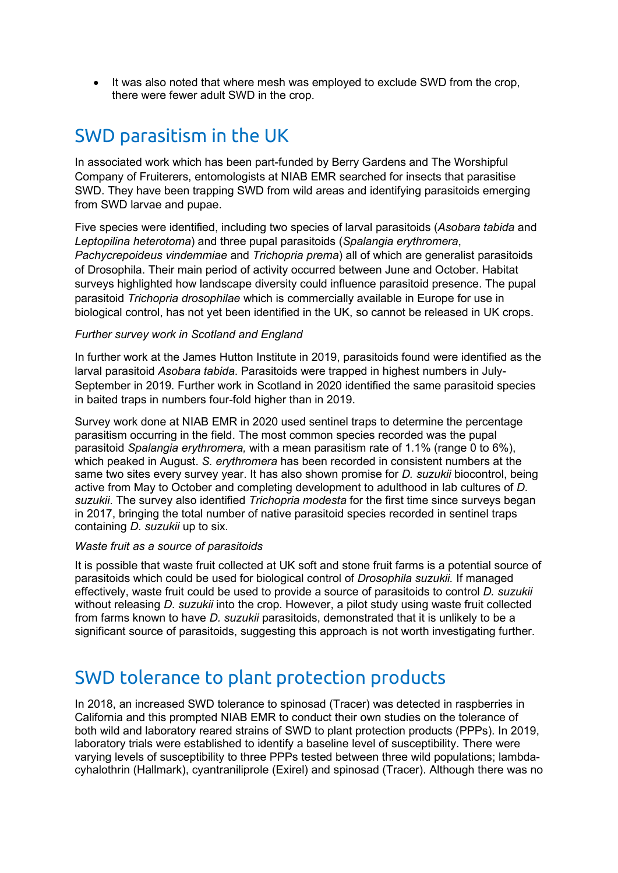• It was also noted that where mesh was employed to exclude SWD from the crop, there were fewer adult SWD in the crop.

## SWD parasitism in the UK

In associated work which has been part-funded by Berry Gardens and The Worshipful Company of Fruiterers, entomologists at NIAB EMR searched for insects that parasitise SWD. They have been trapping SWD from wild areas and identifying parasitoids emerging from SWD larvae and pupae.

Five species were identified, including two species of larval parasitoids (*Asobara tabida* and *Leptopilina heterotoma*) and three pupal parasitoids (*Spalangia erythromera*, *Pachycrepoideus vindemmiae* and *Trichopria prema*) all of which are generalist parasitoids of Drosophila. Their main period of activity occurred between June and October. Habitat surveys highlighted how landscape diversity could influence parasitoid presence. The pupal parasitoid *Trichopria drosophilae* which is commercially available in Europe for use in biological control, has not yet been identified in the UK, so cannot be released in UK crops.

### *Further survey work in Scotland and England*

In further work at the James Hutton Institute in 2019, parasitoids found were identified as the larval parasitoid *Asobara tabida*. Parasitoids were trapped in highest numbers in July-September in 2019. Further work in Scotland in 2020 identified the same parasitoid species in baited traps in numbers four-fold higher than in 2019.

Survey work done at NIAB EMR in 2020 used sentinel traps to determine the percentage parasitism occurring in the field. The most common species recorded was the pupal parasitoid *Spalangia erythromera,* with a mean parasitism rate of 1.1% (range 0 to 6%), which peaked in August. *S. erythromera* has been recorded in consistent numbers at the same two sites every survey year. It has also shown promise for *D. suzukii* biocontrol, being active from May to October and completing development to adulthood in lab cultures of *D. suzukii*. The survey also identified *Trichopria modesta* for the first time since surveys began in 2017, bringing the total number of native parasitoid species recorded in sentinel traps containing *D. suzukii* up to six*.*

#### *Waste fruit as a source of parasitoids*

It is possible that waste fruit collected at UK soft and stone fruit farms is a potential source of parasitoids which could be used for biological control of *Drosophila suzukii.* If managed effectively, waste fruit could be used to provide a source of parasitoids to control *D. suzukii*  without releasing *D. suzukii* into the crop. However, a pilot study using waste fruit collected from farms known to have *D. suzukii* parasitoids, demonstrated that it is unlikely to be a significant source of parasitoids, suggesting this approach is not worth investigating further.

### SWD tolerance to plant protection products

In 2018, an increased SWD tolerance to spinosad (Tracer) was detected in raspberries in California and this prompted NIAB EMR to conduct their own studies on the tolerance of both wild and laboratory reared strains of SWD to plant protection products (PPPs). In 2019, laboratory trials were established to identify a baseline level of susceptibility. There were varying levels of susceptibility to three PPPs tested between three wild populations; lambdacyhalothrin (Hallmark), cyantraniliprole (Exirel) and spinosad (Tracer). Although there was no